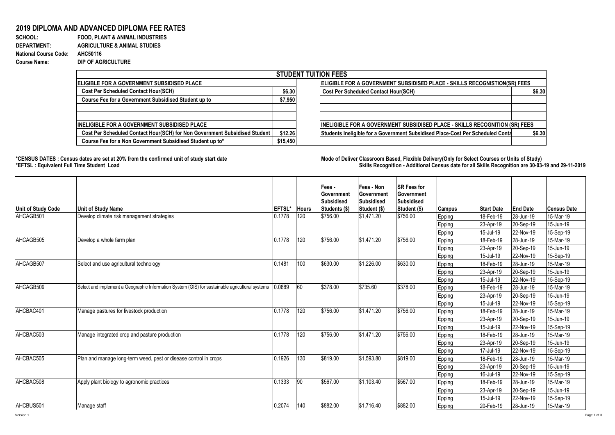## **2019 DIPLOMA AND ADVANCED DIPLOMA FEE RATES**<br>SCHOOL: FOOD, PLANT & ANIMAL INDUSTRIES

**FOOD, PLANT & ANIMAL INDUSTRIES DEPARTMENT: AGRICULTURE & ANIMAL STUDIES National Course Code: AHC50116 Course Name: DIP OF AGRICULTURE**

| <b>STUDENT TUITION FEES</b>                                                |          |                                                                                          |  |  |  |  |  |  |
|----------------------------------------------------------------------------|----------|------------------------------------------------------------------------------------------|--|--|--|--|--|--|
| <b>IELIGIBLE FOR A GOVERNMENT SUBSIDISED PLACE</b>                         |          | ELIGIBLE FOR A GOVERNMENT SUBSIDISED PLACE - SKILLS RECOGNISTION(SR) FEES                |  |  |  |  |  |  |
| <b>Cost Per Scheduled Contact Hour(SCH)</b>                                | \$6.30   | <b>Cost Per Scheduled Contact Hour(SCH)</b><br>\$6.30                                    |  |  |  |  |  |  |
| Course Fee for a Government Subsidised Student up to                       | \$7,950  |                                                                                          |  |  |  |  |  |  |
|                                                                            |          |                                                                                          |  |  |  |  |  |  |
|                                                                            |          |                                                                                          |  |  |  |  |  |  |
| <b>INELIGIBLE FOR A GOVERNMENT SUBSIDISED PLACE</b>                        |          | <b>INELIGIBLE FOR A GOVERNMENT SUBSIDISED PLACE - SKILLS RECOGNITION (SR) FEES</b>       |  |  |  |  |  |  |
| Cost Per Scheduled Contact Hour(SCH) for Non Government Subsidised Student | \$12.26  | Students Ineligible for a Government Subsidised Place-Cost Per Scheduled Conta<br>\$6.30 |  |  |  |  |  |  |
| Course Fee for a Non Government Subsidised Student up to*                  | \$15,450 |                                                                                          |  |  |  |  |  |  |

1000

**\*CENSUS DATES : Census dates are set at 20% from the confirmed unit of study start date Mode of Delivery:Classroom Based, Flexible Delivery(Only for Select Courses or Units of Study) \*EFTSL : Equivalent Full Time Student Load Skills Recognition - Additional Census date for all Skills Recognition are 30-03-19 and 29-11-2019** 

| <b>Unit of Study Code</b> | <b>Unit of Study Name</b>                                                                       | <b>EFTSL*</b> | <b>Hours</b> | Fees -<br><b>Government</b><br>Subsidised<br>Students (\$) | Fees - Non<br>Government<br>Subsidised<br>Student (\$) | <b>ISR Fees for</b><br>Government<br>Subsidised<br>Student (\$) | Campus | <b>Start Date</b> | <b>End Date</b> | <b>Census Date</b> |
|---------------------------|-------------------------------------------------------------------------------------------------|---------------|--------------|------------------------------------------------------------|--------------------------------------------------------|-----------------------------------------------------------------|--------|-------------------|-----------------|--------------------|
| AHCAGB501                 | Develop climate risk management strategies                                                      | 0.1778        | 120          | \$756.00                                                   | \$1,471.20                                             | \$756.00                                                        | Epping | 18-Feb-19         | 28-Jun-19       | 15-Mar-19          |
|                           |                                                                                                 |               |              |                                                            |                                                        |                                                                 | Epping | 23-Apr-19         | 20-Sep-19       | 15-Jun-19          |
|                           |                                                                                                 |               |              |                                                            |                                                        |                                                                 | Epping | 15-Jul-19         | 22-Nov-19       | 15-Sep-19          |
| AHCAGB505                 | Develop a whole farm plan                                                                       | 0.1778        | 120          | \$756.00                                                   | \$1,471.20                                             | \$756.00                                                        | Epping | 18-Feb-19         | 28-Jun-19       | 15-Mar-19          |
|                           |                                                                                                 |               |              |                                                            |                                                        |                                                                 | Epping | 23-Apr-19         | 20-Sep-19       | 15-Jun-19          |
|                           |                                                                                                 |               |              |                                                            |                                                        |                                                                 | Epping | 15-Jul-19         | 22-Nov-19       | 15-Sep-19          |
| AHCAGB507                 | Select and use agricultural technology                                                          | 0.1481        | 100          | \$630.00                                                   | \$1,226.00                                             | \$630.00                                                        | Epping | 18-Feb-19         | 28-Jun-19       | 15-Mar-19          |
|                           |                                                                                                 |               |              |                                                            |                                                        |                                                                 | Epping | 23-Apr-19         | 20-Sep-19       | 15-Jun-19          |
|                           |                                                                                                 |               |              |                                                            |                                                        |                                                                 | Epping | 15-Jul-19         | 22-Nov-19       | 15-Sep-19          |
| AHCAGB509                 | Select and implement a Geographic Information System (GIS) for sustainable agricultural systems | 0.889         | 60           | \$378.00                                                   | \$735.60                                               | \$378.00                                                        | Epping | 18-Feb-19         | 28-Jun-19       | 15-Mar-19          |
|                           |                                                                                                 |               |              |                                                            |                                                        |                                                                 | Epping | 23-Apr-19         | 20-Sep-19       | 15-Jun-19          |
|                           |                                                                                                 |               |              |                                                            |                                                        |                                                                 | Epping | 15-Jul-19         | 22-Nov-19       | 15-Sep-19          |
| AHCBAC401                 | Manage pastures for livestock production                                                        | 0.1778        | 120          | \$756.00                                                   | \$1,471.20                                             | \$756.00                                                        | Epping | 18-Feb-19         | 28-Jun-19       | 15-Mar-19          |
|                           |                                                                                                 |               |              |                                                            |                                                        |                                                                 | Epping | 23-Apr-19         | 20-Sep-19       | 15-Jun-19          |
|                           |                                                                                                 |               |              |                                                            |                                                        |                                                                 | Epping | 15-Jul-19         | 22-Nov-19       | 15-Sep-19          |
| AHCBAC503                 | Manage integrated crop and pasture production                                                   | 0.1778        | 120          | \$756.00                                                   | \$1.471.20                                             | \$756.00                                                        | Epping | 18-Feb-19         | 28-Jun-19       | 15-Mar-19          |
|                           |                                                                                                 |               |              |                                                            |                                                        |                                                                 | Epping | 23-Apr-19         | 20-Sep-19       | 15-Jun-19          |
|                           |                                                                                                 |               |              |                                                            |                                                        |                                                                 | Epping | 17-Jul-19         | 22-Nov-19       | 15-Sep-19          |
| AHCBAC505                 | Plan and manage long-term weed, pest or disease control in crops                                | 0.1926        | 130          | \$819.00                                                   | \$1,593.80                                             | \$819.00                                                        | Epping | 18-Feb-19         | 28-Jun-19       | 15-Mar-19          |
|                           |                                                                                                 |               |              |                                                            |                                                        |                                                                 | Epping | 23-Apr-19         | 20-Sep-19       | 15-Jun-19          |
|                           |                                                                                                 |               |              |                                                            |                                                        |                                                                 | Epping | 16-Jul-19         | 22-Nov-19       | 15-Sep-19          |
| AHCBAC508                 | Apply plant biology to agronomic practices                                                      | 0.1333        | 90           | \$567.00                                                   | \$1.103.40                                             | \$567.00                                                        | Epping | 18-Feb-19         | 28-Jun-19       | 15-Mar-19          |
|                           |                                                                                                 |               |              |                                                            |                                                        |                                                                 | Epping | 23-Apr-19         | 20-Sep-19       | 15-Jun-19          |
|                           |                                                                                                 |               |              |                                                            |                                                        |                                                                 | Epping | 15-Jul-19         | 22-Nov-19       | 15-Sep-19          |
| AHCBUS501                 | Manage staff                                                                                    | 0.2074        | 140          | \$882.00                                                   | \$1,716.40                                             | \$882.00                                                        | Epping | 20-Feb-19         | 28-Jun-19       | 15-Mar-19          |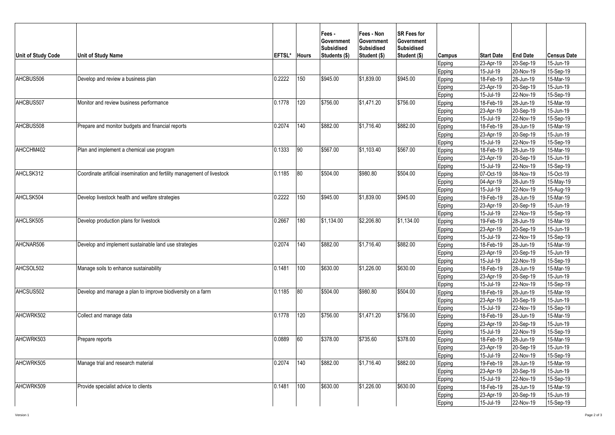| <b>Unit of Study Code</b> | Unit of Study Name                                                       | EFTSL* | <b>Hours</b> | Fees -<br><b>Government</b><br><b>Subsidised</b><br>Students (\$) | Fees - Non<br>Government<br><b>Subsidised</b><br>Student (\$) | <b>SR Fees for</b><br>Government<br><b>Subsidised</b><br>Student (\$) | Campus | <b>Start Date</b> | <b>End Date</b> | <b>Census Date</b> |
|---------------------------|--------------------------------------------------------------------------|--------|--------------|-------------------------------------------------------------------|---------------------------------------------------------------|-----------------------------------------------------------------------|--------|-------------------|-----------------|--------------------|
|                           |                                                                          |        |              |                                                                   |                                                               |                                                                       | Epping | 23-Apr-19         | 20-Sep-19       | 15-Jun-19          |
|                           |                                                                          |        |              |                                                                   |                                                               |                                                                       | Epping | 15-Jul-19         | 20-Nov-19       | 15-Sep-19          |
| AHCBUS506                 | Develop and review a business plan                                       | 0.2222 | 150          | \$945.00                                                          | \$1,839.00                                                    | \$945.00                                                              | Epping | 18-Feb-19         | 28-Jun-19       | 15-Mar-19          |
|                           |                                                                          |        |              |                                                                   |                                                               |                                                                       | Epping | 23-Apr-19         | 20-Sep-19       | 15-Jun-19          |
|                           |                                                                          |        |              |                                                                   |                                                               |                                                                       | Epping | 15-Jul-19         | 22-Nov-19       | 15-Sep-19          |
| AHCBUS507                 | Monitor and review business performance                                  | 0.1778 | 120          | \$756.00                                                          | \$1,471.20                                                    | \$756.00                                                              | Epping | 18-Feb-19         | 28-Jun-19       | 15-Mar-19          |
|                           |                                                                          |        |              |                                                                   |                                                               |                                                                       | Epping | 23-Apr-19         | 20-Sep-19       | 15-Jun-19          |
|                           |                                                                          |        |              |                                                                   |                                                               |                                                                       | Epping | 15-Jul-19         | 22-Nov-19       | 15-Sep-19          |
| AHCBUS508                 | Prepare and monitor budgets and financial reports                        | 0.2074 | 140          | \$882.00                                                          | \$1,716.40                                                    | \$882.00                                                              | Epping | 18-Feb-19         | 28-Jun-19       | 15-Mar-19          |
|                           |                                                                          |        |              |                                                                   |                                                               |                                                                       | Epping | 23-Apr-19         | 20-Sep-19       | 15-Jun-19          |
|                           |                                                                          |        |              |                                                                   |                                                               |                                                                       | Epping | 15-Jul-19         | 22-Nov-19       | 15-Sep-19          |
| AHCCHM402                 | Plan and implement a chemical use program                                | 0.1333 | 90           | \$567.00                                                          | \$1,103.40                                                    | \$567.00                                                              | Epping | 18-Feb-19         | 28-Jun-19       | 15-Mar-19          |
|                           |                                                                          |        |              |                                                                   |                                                               |                                                                       | Epping | 23-Apr-19         | 20-Sep-19       | 15-Jun-19          |
|                           |                                                                          |        |              |                                                                   |                                                               |                                                                       | Epping | 15-Jul-19         | 22-Nov-19       | 15-Sep-19          |
| AHCLSK312                 | Coordinate artificial insemination and fertility management of livestock | 0.1185 | 80           | \$504.00                                                          | \$980.80                                                      | \$504.00                                                              | Epping | 07-Oct-19         | 08-Nov-19       | 15-Oct-19          |
|                           |                                                                          |        |              |                                                                   |                                                               |                                                                       | Epping | 04-Apr-19         | 28-Jun-19       | 15-May-19          |
|                           | Develop livestock health and welfare strategies                          |        |              |                                                                   |                                                               |                                                                       | Epping | 15-Jul-19         | 22-Nov-19       | 15-Aug-19          |
| AHCLSK504                 |                                                                          | 0.2222 | 150          | \$945.00                                                          | \$1,839.00                                                    | \$945.00                                                              | Epping | 19-Feb-19         | 28-Jun-19       | 15-Mar-19          |
|                           |                                                                          |        |              |                                                                   |                                                               |                                                                       | Epping | 23-Apr-19         | 20-Sep-19       | 15-Jun-19          |
|                           |                                                                          |        |              |                                                                   |                                                               |                                                                       | Epping | 15-Jul-19         | 22-Nov-19       | 15-Sep-19          |
| AHCLSK505                 | Develop production plans for livestock                                   | 0.2667 | 180          | \$1,134.00                                                        | \$2,206.80                                                    | \$1,134.00                                                            | Epping | 19-Feb-19         | 28-Jun-19       | 15-Mar-19          |
|                           |                                                                          |        |              |                                                                   |                                                               |                                                                       | Epping | 23-Apr-19         | 20-Sep-19       | 15-Jun-19          |
|                           |                                                                          |        |              |                                                                   |                                                               |                                                                       | Epping | 15-Jul-19         | 22-Nov-19       | 15-Sep-19          |
| AHCNAR506                 | Develop and implement sustainable land use strategies                    | 0.2074 | 140          | \$882.00                                                          | \$1,716.40                                                    | \$882.00                                                              | Epping | 18-Feb-19         | 28-Jun-19       | 15-Mar-19          |
|                           |                                                                          |        |              |                                                                   |                                                               |                                                                       | Epping | 23-Apr-19         | 20-Sep-19       | 15-Jun-19          |
|                           |                                                                          |        |              |                                                                   |                                                               |                                                                       | Epping | 15-Jul-19         | 22-Nov-19       | 15-Sep-19          |
| AHCSOL502                 | Manage soils to enhance sustainability                                   | 0.1481 | 100          | \$630.00                                                          | \$1,226.00                                                    | \$630.00                                                              | Epping | 18-Feb-19         | 28-Jun-19       | 15-Mar-19          |
|                           |                                                                          |        |              |                                                                   |                                                               |                                                                       | Epping | 23-Apr-19         | 20-Sep-19       | 15-Jun-19          |
|                           |                                                                          |        |              |                                                                   |                                                               |                                                                       | Epping | 15-Jul-19         | 22-Nov-19       | 15-Sep-19          |
| AHCSUS502                 | Develop and manage a plan to improve biodiversity on a farm              | 0.1185 | 80           | \$504.00                                                          | \$980.80                                                      | \$504.00                                                              | Epping | 18-Feb-19         | 28-Jun-19       | 15-Mar-19          |
|                           |                                                                          |        |              |                                                                   |                                                               |                                                                       | Epping | 23-Apr-19         | 20-Sep-19       | 15-Jun-19          |
|                           |                                                                          |        |              |                                                                   |                                                               |                                                                       | Epping | 15-Jul-19         | 22-Nov-19       | 15-Sep-19          |
| AHCWRK502                 | Collect and manage data                                                  | 0.1778 | 120          | \$756.00                                                          | \$1,471.20                                                    | \$756.00                                                              | Epping | 18-Feb-19         | 28-Jun-19       | 15-Mar-19          |
|                           |                                                                          |        |              |                                                                   |                                                               |                                                                       | Epping | 23-Apr-19         | 20-Sep-19       | 15-Jun-19          |
|                           |                                                                          |        |              |                                                                   |                                                               |                                                                       | Epping | 15-Jul-19         | 22-Nov-19       | 15-Sep-19          |
| AHCWRK503                 | Prepare reports                                                          | 0.0889 | 60           | \$378.00                                                          | \$735.60                                                      | \$378.00                                                              | Epping | 18-Feb-19         | 28-Jun-19       | 15-Mar-19          |
|                           |                                                                          |        |              |                                                                   |                                                               |                                                                       | Epping | 23-Apr-19         | 20-Sep-19       | 15-Jun-19          |
|                           |                                                                          |        |              |                                                                   |                                                               |                                                                       | Epping | 15-Jul-19         | 22-Nov-19       | 15-Sep-19          |
| AHCWRK505                 | Manage trial and research material                                       | 0.2074 | 140          | \$882.00                                                          | \$1,716.40                                                    | \$882.00                                                              | Epping | 19-Feb-19         | 28-Jun-19       | 15-Mar-19          |
|                           |                                                                          |        |              |                                                                   |                                                               |                                                                       | Epping | 23-Apr-19         | 20-Sep-19       | 15-Jun-19          |
|                           |                                                                          |        |              |                                                                   |                                                               |                                                                       | Epping | 15-Jul-19         | 22-Nov-19       | 15-Sep-19          |
| AHCWRK509                 | Provide specialist advice to clients                                     | 0.1481 | 100          | \$630.00                                                          | \$1,226.00                                                    | \$630.00                                                              | Epping | 18-Feb-19         | 28-Jun-19       | 15-Mar-19          |
|                           |                                                                          |        |              |                                                                   |                                                               |                                                                       | Epping | 23-Apr-19         | 20-Sep-19       | 15-Jun-19          |
|                           |                                                                          |        |              |                                                                   |                                                               |                                                                       | Epping | 15-Jul-19         | 22-Nov-19       | 15-Sep-19          |